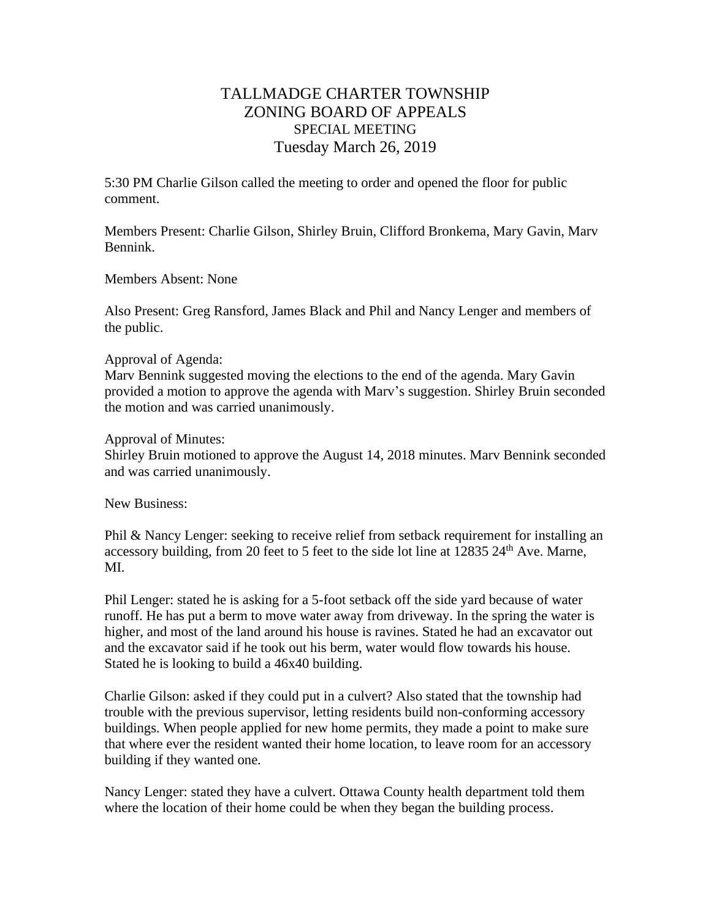## TALLMADGE CHARTER TOWNSHIP ZONING BOARD OF APPEALS SPECIAL MEETING Tuesday March 26, 2019

5:30 PM Charlie Gilson called the meeting to order and opened the floor for public comment.

Members Present: Charlie Gilson, Shirley Bruin, Clifford Bronkema, Mary Gavin, Marv Bennink.

Members Absent: None

Also Present: Greg Ransford, James Black and Phil and Nancy Lenger and members of the public.

## Approval of Agenda:

Marv Bennink suggested moving the elections to the end of the agenda. Mary Gavin provided a motion to approve the agenda with Marv's suggestion. Shirley Bruin seconded the motion and was carried unanimously.

## Approval of Minutes:

Shirley Bruin motioned to approve the August 14, 2018 minutes. Marv Bennink seconded and was carried unanimously.

New Business:

Phil & Nancy Lenger: seeking to receive relief from setback requirement for installing an accessory building, from 20 feet to 5 feet to the side lot line at  $12835\ 24<sup>th</sup>$  Ave. Marne, MI.

Phil Lenger: stated he is asking for a 5-foot setback off the side yard because of water runoff. He has put a berm to move water away from driveway. In the spring the water is higher, and most of the land around his house is ravines. Stated he had an excavator out and the excavator said if he took out his berm, water would flow towards his house. Stated he is looking to build a 46x40 building.

Charlie Gilson: asked if they could put in a culvert? Also stated that the township had trouble with the previous supervisor, letting residents build non-conforming accessory buildings. When people applied for new home permits, they made a point to make sure that where ever the resident wanted their home location, to leave room for an accessory building if they wanted one.

Nancy Lenger: stated they have a culvert. Ottawa County health department told them where the location of their home could be when they began the building process.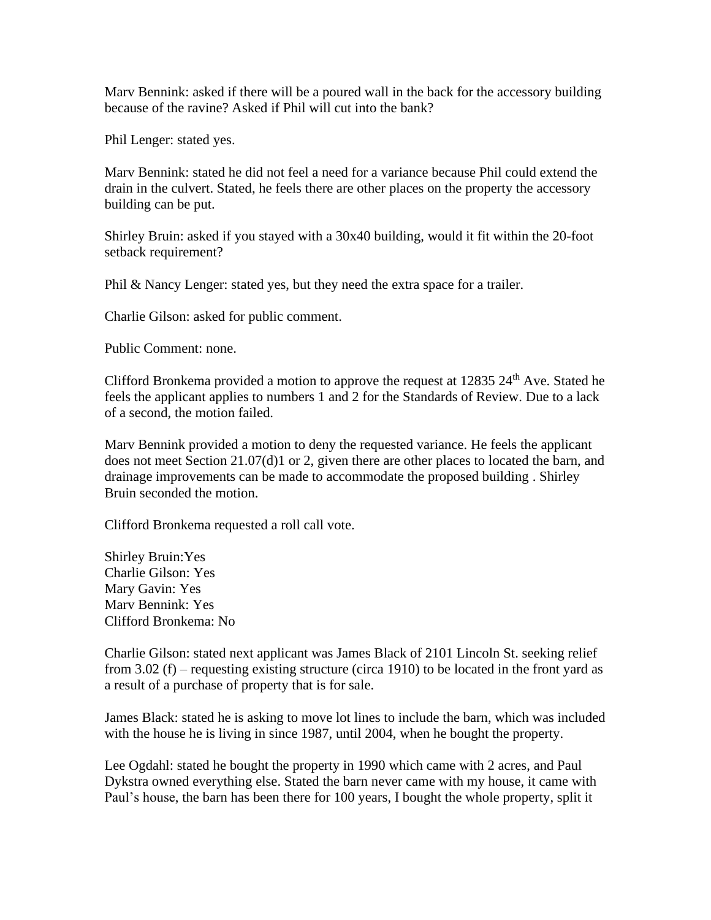Marv Bennink: asked if there will be a poured wall in the back for the accessory building because of the ravine? Asked if Phil will cut into the bank?

Phil Lenger: stated yes.

Marv Bennink: stated he did not feel a need for a variance because Phil could extend the drain in the culvert. Stated, he feels there are other places on the property the accessory building can be put.

Shirley Bruin: asked if you stayed with a 30x40 building, would it fit within the 20-foot setback requirement?

Phil & Nancy Lenger: stated yes, but they need the extra space for a trailer.

Charlie Gilson: asked for public comment.

Public Comment: none.

Clifford Bronkema provided a motion to approve the request at  $12835 24<sup>th</sup>$  Ave. Stated he feels the applicant applies to numbers 1 and 2 for the Standards of Review. Due to a lack of a second, the motion failed.

Marv Bennink provided a motion to deny the requested variance. He feels the applicant does not meet Section 21.07(d)1 or 2, given there are other places to located the barn, and drainage improvements can be made to accommodate the proposed building . Shirley Bruin seconded the motion.

Clifford Bronkema requested a roll call vote.

Shirley Bruin:Yes Charlie Gilson: Yes Mary Gavin: Yes Marv Bennink: Yes Clifford Bronkema: No

Charlie Gilson: stated next applicant was James Black of 2101 Lincoln St. seeking relief from 3.02 (f) – requesting existing structure (circa 1910) to be located in the front yard as a result of a purchase of property that is for sale.

James Black: stated he is asking to move lot lines to include the barn, which was included with the house he is living in since 1987, until 2004, when he bought the property.

Lee Ogdahl: stated he bought the property in 1990 which came with 2 acres, and Paul Dykstra owned everything else. Stated the barn never came with my house, it came with Paul's house, the barn has been there for 100 years, I bought the whole property, split it